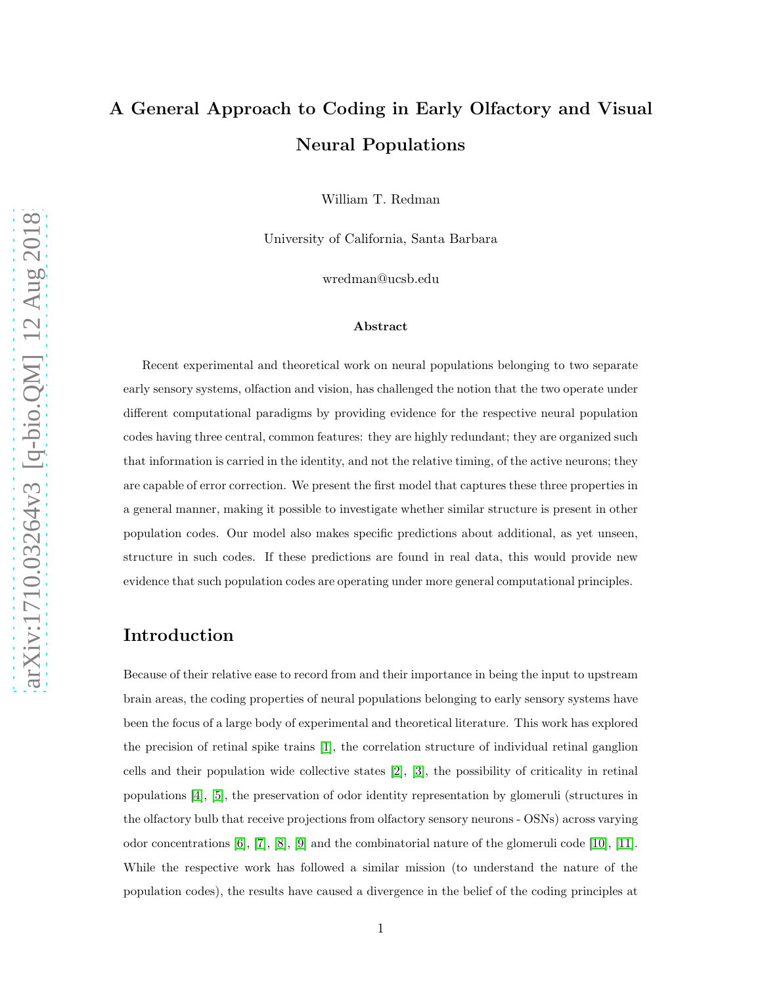# A General Approach to Coding in Early Olfactory and Visual Neural Populations

William T. Redman

University of California, Santa Barbara

wredman@ucsb.edu

#### Abstract

Recent experimental and theoretical work on neural populations belonging to two separate early sensory systems, olfaction and vision, has challenged the notion that the two operate under different computational paradigms by providing evidence for the respective neural population codes having three central, common features: they are highly redundant; they are organized such that information is carried in the identity, and not the relative timing, of the active neurons; they are capable of error correction. We present the first model that captures these three properties in a general manner, making it possible to investigate whether similar structure is present in other population codes. Our model also makes specific predictions about additional, as yet unseen, structure in such codes. If these predictions are found in real data, this would provide new evidence that such population codes are operating under more general computational principles.

## Introduction

Because of their relative ease to record from and their importance in being the input to upstream brain areas, the coding properties of neural populations belonging to early sensory systems have been the focus of a large body of experimental and theoretical literature. This work has explored the precision of retinal spike trains [\[1\]](#page-9-0), the correlation structure of individual retinal ganglion cells and their population wide collective states [\[2\]](#page-9-1), [\[3\]](#page-9-2), the possibility of criticality in retinal populations [\[4\]](#page-9-3), [\[5\]](#page-9-4), the preservation of odor identity representation by glomeruli (structures in the olfactory bulb that receive projections from olfactory sensory neurons - OSNs) across varying odor concentrations [\[6\]](#page-9-5), [\[7\]](#page-9-6), [\[8\]](#page-9-7), [\[9\]](#page-9-8) and the combinatorial nature of the glomeruli code [\[10\]](#page-9-9), [\[11\]](#page-9-10). While the respective work has followed a similar mission (to understand the nature of the population codes), the results have caused a divergence in the belief of the coding principles at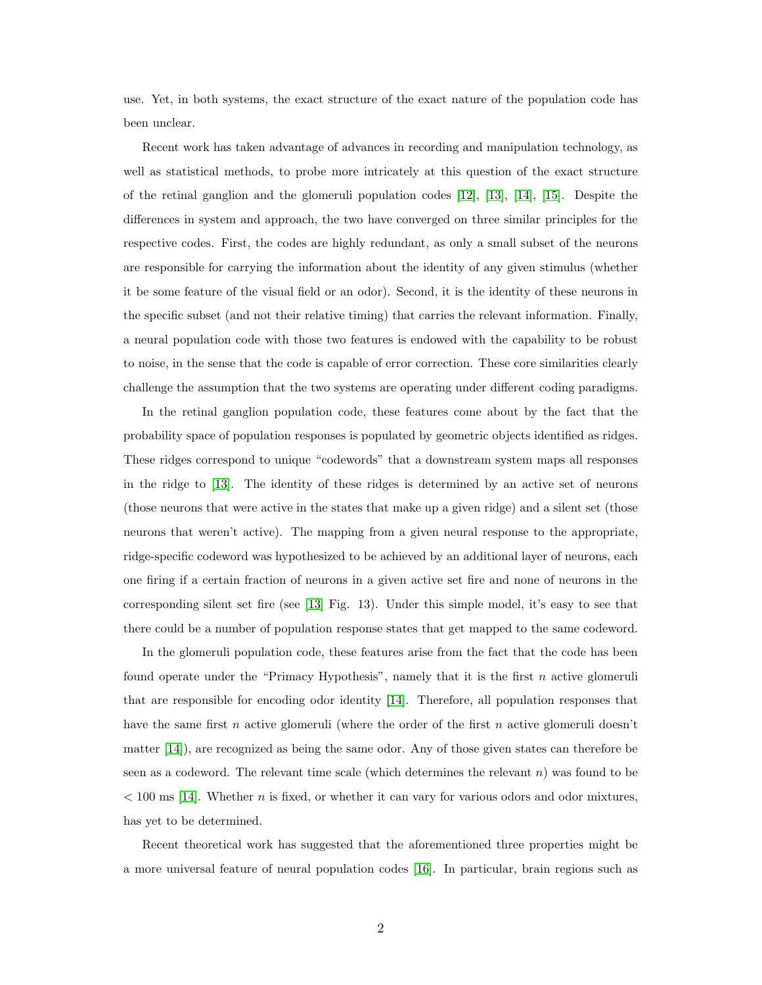use. Yet, in both systems, the exact structure of the exact nature of the population code has been unclear.

Recent work has taken advantage of advances in recording and manipulation technology, as well as statistical methods, to probe more intricately at this question of the exact structure of the retinal ganglion and the glomeruli population codes [\[12\]](#page-9-11), [\[13\]](#page-10-0), [\[14\]](#page-10-1), [\[15\]](#page-10-2). Despite the differences in system and approach, the two have converged on three similar principles for the respective codes. First, the codes are highly redundant, as only a small subset of the neurons are responsible for carrying the information about the identity of any given stimulus (whether it be some feature of the visual field or an odor). Second, it is the identity of these neurons in the specific subset (and not their relative timing) that carries the relevant information. Finally, a neural population code with those two features is endowed with the capability to be robust to noise, in the sense that the code is capable of error correction. These core similarities clearly challenge the assumption that the two systems are operating under different coding paradigms.

In the retinal ganglion population code, these features come about by the fact that the probability space of population responses is populated by geometric objects identified as ridges. These ridges correspond to unique "codewords" that a downstream system maps all responses in the ridge to [\[13\]](#page-10-0). The identity of these ridges is determined by an active set of neurons (those neurons that were active in the states that make up a given ridge) and a silent set (those neurons that weren't active). The mapping from a given neural response to the appropriate, ridge-specific codeword was hypothesized to be achieved by an additional layer of neurons, each one firing if a certain fraction of neurons in a given active set fire and none of neurons in the corresponding silent set fire (see [\[13\]](#page-10-0) Fig. 13). Under this simple model, it's easy to see that there could be a number of population response states that get mapped to the same codeword.

In the glomeruli population code, these features arise from the fact that the code has been found operate under the "Primacy Hypothesis", namely that it is the first  $n$  active glomeruli that are responsible for encoding odor identity [\[14\]](#page-10-1). Therefore, all population responses that have the same first n active glomeruli (where the order of the first n active glomeruli doesn't matter [\[14\]](#page-10-1)), are recognized as being the same odor. Any of those given states can therefore be seen as a codeword. The relevant time scale (which determines the relevant  $n$ ) was found to be  $< 100$  ms [\[14\]](#page-10-1). Whether n is fixed, or whether it can vary for various odors and odor mixtures, has yet to be determined.

Recent theoretical work has suggested that the aforementioned three properties might be a more universal feature of neural population codes [\[16\]](#page-10-3). In particular, brain regions such as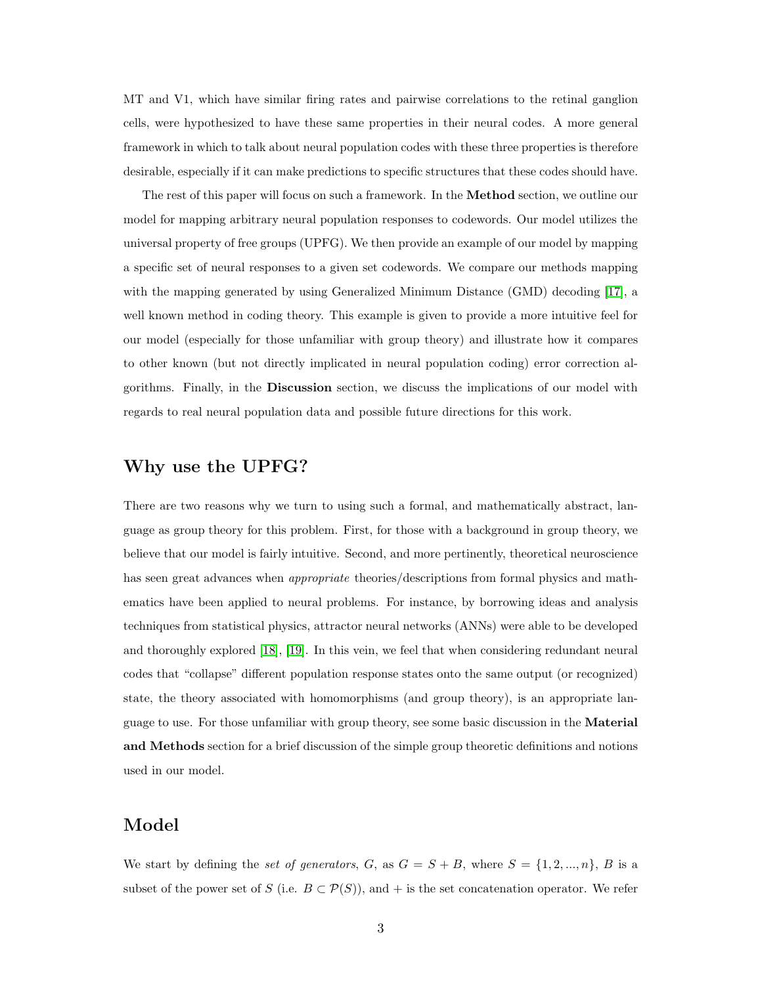MT and V1, which have similar firing rates and pairwise correlations to the retinal ganglion cells, were hypothesized to have these same properties in their neural codes. A more general framework in which to talk about neural population codes with these three properties is therefore desirable, especially if it can make predictions to specific structures that these codes should have.

The rest of this paper will focus on such a framework. In the Method section, we outline our model for mapping arbitrary neural population responses to codewords. Our model utilizes the universal property of free groups (UPFG). We then provide an example of our model by mapping a specific set of neural responses to a given set codewords. We compare our methods mapping with the mapping generated by using Generalized Minimum Distance (GMD) decoding [\[17\]](#page-10-4), a well known method in coding theory. This example is given to provide a more intuitive feel for our model (especially for those unfamiliar with group theory) and illustrate how it compares to other known (but not directly implicated in neural population coding) error correction algorithms. Finally, in the Discussion section, we discuss the implications of our model with regards to real neural population data and possible future directions for this work.

## Why use the UPFG?

There are two reasons why we turn to using such a formal, and mathematically abstract, language as group theory for this problem. First, for those with a background in group theory, we believe that our model is fairly intuitive. Second, and more pertinently, theoretical neuroscience has seen great advances when *appropriate* theories/descriptions from formal physics and mathematics have been applied to neural problems. For instance, by borrowing ideas and analysis techniques from statistical physics, attractor neural networks (ANNs) were able to be developed and thoroughly explored [\[18\]](#page-10-5), [\[19\]](#page-10-6). In this vein, we feel that when considering redundant neural codes that "collapse" different population response states onto the same output (or recognized) state, the theory associated with homomorphisms (and group theory), is an appropriate language to use. For those unfamiliar with group theory, see some basic discussion in the Material and Methods section for a brief discussion of the simple group theoretic definitions and notions used in our model.

## Model

We start by defining the set of generators, G, as  $G = S + B$ , where  $S = \{1, 2, ..., n\}$ , B is a subset of the power set of S (i.e.  $B \subset \mathcal{P}(S)$ ), and + is the set concatenation operator. We refer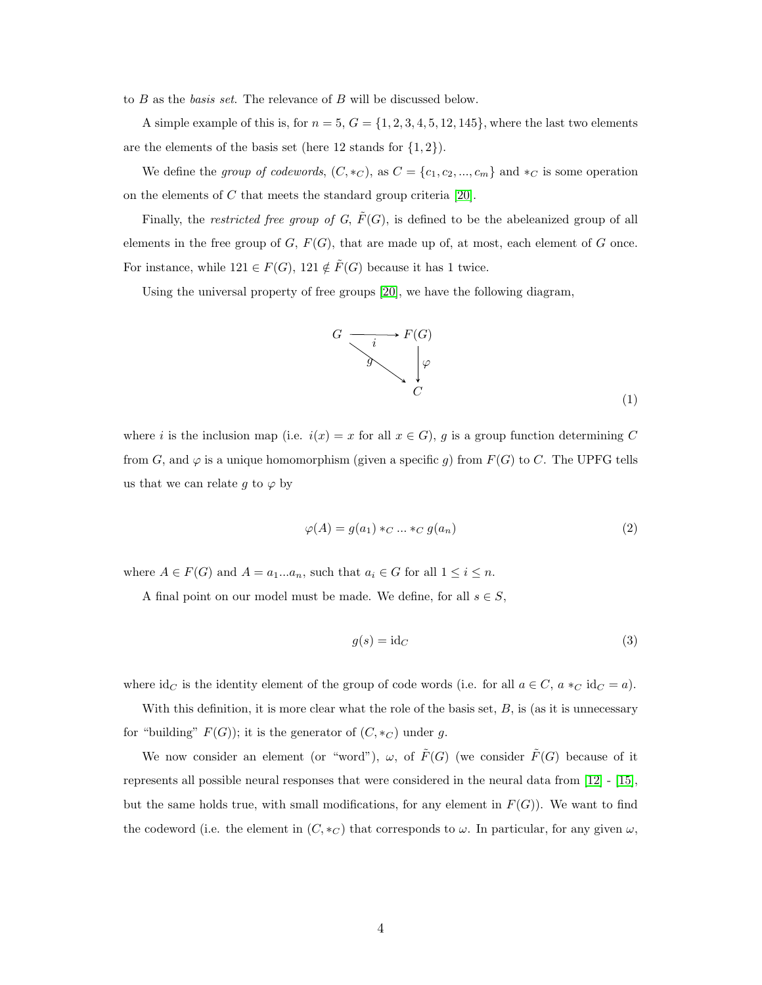to  $B$  as the *basis set*. The relevance of  $B$  will be discussed below.

A simple example of this is, for  $n = 5$ ,  $G = \{1, 2, 3, 4, 5, 12, 145\}$ , where the last two elements are the elements of the basis set (here 12 stands for  $\{1, 2\}$ ).

We define the group of codewords,  $(C, *_{C})$ , as  $C = \{c_1, c_2, ..., c_m\}$  and  $*_{C}$  is some operation on the elements of C that meets the standard group criteria [\[20\]](#page-10-7).

Finally, the *restricted free group of G*,  $\tilde{F}(G)$ , is defined to be the abeleanized group of all elements in the free group of  $G, F(G)$ , that are made up of, at most, each element of  $G$  once. For instance, while  $121 \in F(G)$ ,  $121 \notin \tilde{F}(G)$  because it has 1 twice.

Using the universal property of free groups [\[20\]](#page-10-7), we have the following diagram,



(1)

where i is the inclusion map (i.e.  $i(x) = x$  for all  $x \in G$ ), g is a group function determining C from G, and  $\varphi$  is a unique homomorphism (given a specific g) from  $F(G)$  to C. The UPFG tells us that we can relate g to  $\varphi$  by

$$
\varphi(A) = g(a_1) *_{C} \dots *_{C} g(a_n) \tag{2}
$$

where  $A \in F(G)$  and  $A = a_1...a_n$ , such that  $a_i \in G$  for all  $1 \leq i \leq n$ .

A final point on our model must be made. We define, for all  $s \in S$ ,

$$
g(s) = id_C \tag{3}
$$

where  $\mathrm{id}_C$  is the identity element of the group of code words (i.e. for all  $a \in C$ ,  $a *_{C} \mathrm{id}_C = a$ ).

With this definition, it is more clear what the role of the basis set,  $B$ , is (as it is unnecessary for "building"  $F(G)$ ); it is the generator of  $(C, *_{C})$  under g.

We now consider an element (or "word"),  $\omega$ , of  $\tilde{F}(G)$  (we consider  $\tilde{F}(G)$  because of it represents all possible neural responses that were considered in the neural data from [\[12\]](#page-9-11) - [\[15\]](#page-10-2), but the same holds true, with small modifications, for any element in  $F(G)$ ). We want to find the codeword (i.e. the element in  $(C, *_{C})$  that corresponds to  $\omega$ . In particular, for any given  $\omega$ ,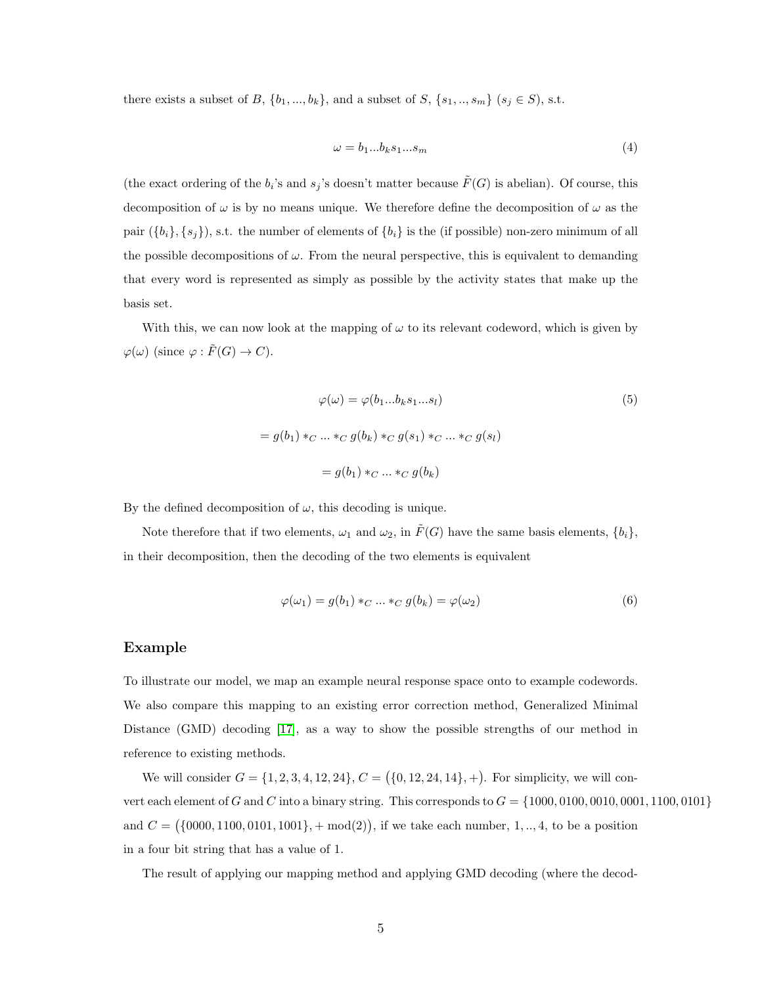there exists a subset of B,  $\{b_1, ..., b_k\}$ , and a subset of S,  $\{s_1, ..., s_m\}$   $(s_j \in S)$ , s.t.

$$
\omega = b_1...b_k s_1...s_m \tag{4}
$$

(the exact ordering of the  $b_i$ 's and  $s_j$ 's doesn't matter because  $\tilde{F}(G)$  is abelian). Of course, this decomposition of  $\omega$  is by no means unique. We therefore define the decomposition of  $\omega$  as the pair  $({b_i}, {s_j})$ , s.t. the number of elements of  ${b_i}$  is the (if possible) non-zero minimum of all the possible decompositions of  $\omega$ . From the neural perspective, this is equivalent to demanding that every word is represented as simply as possible by the activity states that make up the basis set.

With this, we can now look at the mapping of  $\omega$  to its relevant codeword, which is given by  $\varphi(\omega)$  (since  $\varphi : \tilde{F}(G) \to C$ ).

$$
\varphi(\omega) = \varphi(b_1...b_ks_1...s_l)
$$
\n
$$
= g(b_1) *_{C} ... *_{C} g(b_k) *_{C} g(s_1) *_{C} ... *_{C} g(s_l)
$$
\n
$$
= g(b_1) *_{C} ... *_{C} g(b_k)
$$
\n
$$
(5)
$$

By the defined decomposition of  $\omega$ , this decoding is unique.

Note therefore that if two elements,  $\omega_1$  and  $\omega_2$ , in  $\tilde{F}(G)$  have the same basis elements,  $\{b_i\}$ , in their decomposition, then the decoding of the two elements is equivalent

$$
\varphi(\omega_1) = g(b_1) *_{C} \dots *_{C} g(b_k) = \varphi(\omega_2)
$$
\n
$$
(6)
$$

#### Example

To illustrate our model, we map an example neural response space onto to example codewords. We also compare this mapping to an existing error correction method, Generalized Minimal Distance (GMD) decoding [\[17\]](#page-10-4), as a way to show the possible strengths of our method in reference to existing methods.

We will consider  $G = \{1, 2, 3, 4, 12, 24\}, C = \{0, 12, 24, 14\}, +\}.$  For simplicity, we will convert each element of G and C into a binary string. This corresponds to  $G = \{1000, 0100, 0010, 0001, 1100, 0101\}$ and  $C = (\{0000, 1100, 0101, 1001\}, + \text{mod}(2)),$  if we take each number, 1, .., 4, to be a position in a four bit string that has a value of 1.

The result of applying our mapping method and applying GMD decoding (where the decod-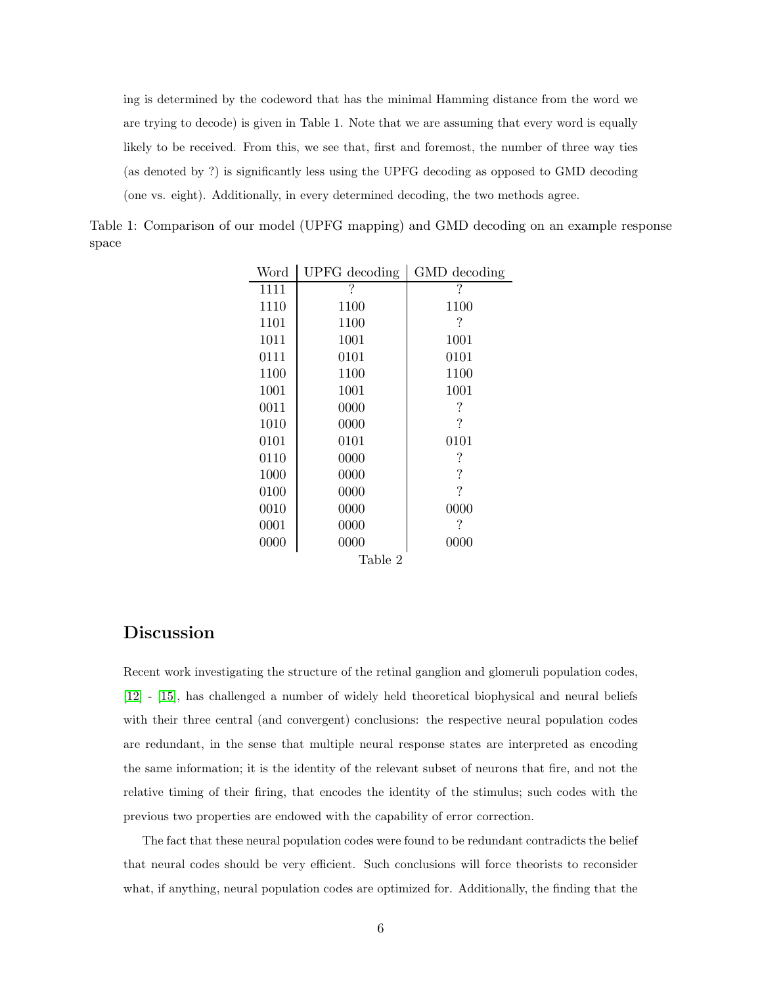ing is determined by the codeword that has the minimal Hamming distance from the word we are trying to decode) is given in Table 1. Note that we are assuming that every word is equally likely to be received. From this, we see that, first and foremost, the number of three way ties (as denoted by ?) is significantly less using the UPFG decoding as opposed to GMD decoding (one vs. eight). Additionally, in every determined decoding, the two methods agree.

Table 1: Comparison of our model (UPFG mapping) and GMD decoding on an example response space

| Word    | UPFG decoding | GMD decoding |
|---------|---------------|--------------|
| 1111    | ?             | ?            |
| 1110    | 1100          | 1100         |
| 1101    | 1100          | ?            |
| 1011    | 1001          | 1001         |
| 0111    | 0101          | 0101         |
| 1100    | 1100          | 1100         |
| 1001    | 1001          | 1001         |
| 0011    | 0000          | ?            |
| 1010    | 0000          | ?            |
| 0101    | 0101          | 0101         |
| 0110    | 0000          | ?            |
| 1000    | 0000          | ?            |
| 0100    | 0000          | ?            |
| 0010    | 0000          | 0000         |
| 0001    | 0000          | ?            |
| 0000    | 0000          | 0000         |
| Table 2 |               |              |

## Discussion

Recent work investigating the structure of the retinal ganglion and glomeruli population codes, [\[12\]](#page-9-11) - [\[15\]](#page-10-2), has challenged a number of widely held theoretical biophysical and neural beliefs with their three central (and convergent) conclusions: the respective neural population codes are redundant, in the sense that multiple neural response states are interpreted as encoding the same information; it is the identity of the relevant subset of neurons that fire, and not the relative timing of their firing, that encodes the identity of the stimulus; such codes with the previous two properties are endowed with the capability of error correction.

The fact that these neural population codes were found to be redundant contradicts the belief that neural codes should be very efficient. Such conclusions will force theorists to reconsider what, if anything, neural population codes are optimized for. Additionally, the finding that the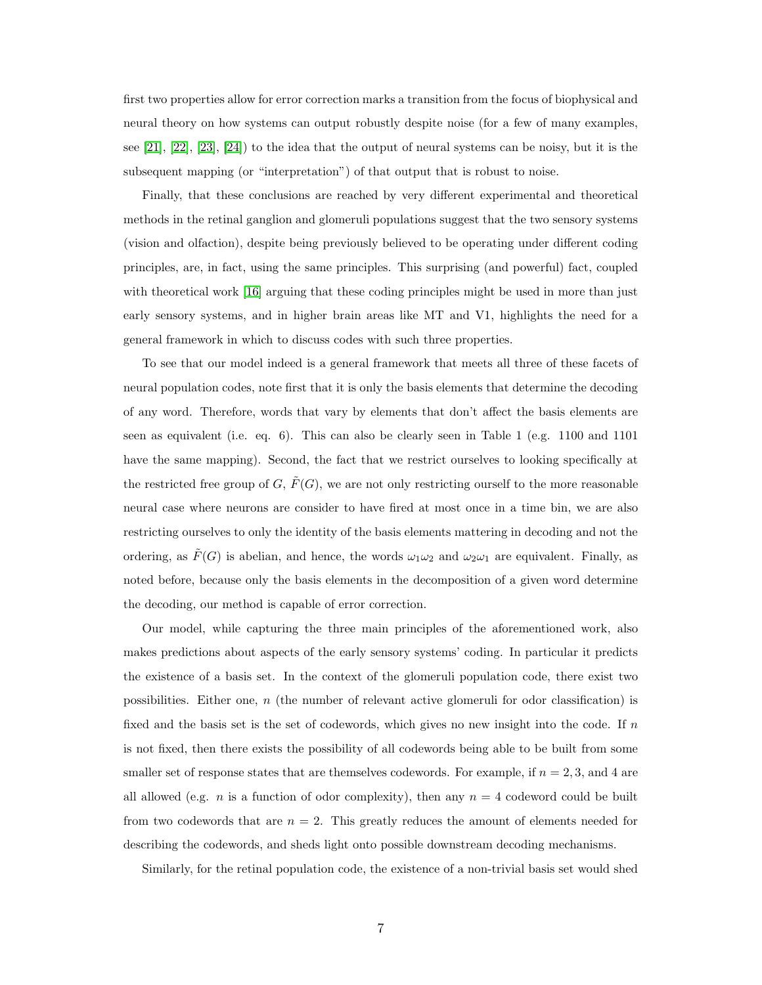first two properties allow for error correction marks a transition from the focus of biophysical and neural theory on how systems can output robustly despite noise (for a few of many examples, see  $[21]$ ,  $[22]$ ,  $[23]$ ,  $[24]$ ) to the idea that the output of neural systems can be noisy, but it is the subsequent mapping (or "interpretation") of that output that is robust to noise.

Finally, that these conclusions are reached by very different experimental and theoretical methods in the retinal ganglion and glomeruli populations suggest that the two sensory systems (vision and olfaction), despite being previously believed to be operating under different coding principles, are, in fact, using the same principles. This surprising (and powerful) fact, coupled with theoretical work [\[16\]](#page-10-3) arguing that these coding principles might be used in more than just early sensory systems, and in higher brain areas like MT and V1, highlights the need for a general framework in which to discuss codes with such three properties.

To see that our model indeed is a general framework that meets all three of these facets of neural population codes, note first that it is only the basis elements that determine the decoding of any word. Therefore, words that vary by elements that don't affect the basis elements are seen as equivalent (i.e. eq. 6). This can also be clearly seen in Table 1 (e.g. 1100 and 1101 have the same mapping). Second, the fact that we restrict ourselves to looking specifically at the restricted free group of G,  $\tilde{F}(G)$ , we are not only restricting ourself to the more reasonable neural case where neurons are consider to have fired at most once in a time bin, we are also restricting ourselves to only the identity of the basis elements mattering in decoding and not the ordering, as  $\tilde{F}(G)$  is abelian, and hence, the words  $\omega_1\omega_2$  and  $\omega_2\omega_1$  are equivalent. Finally, as noted before, because only the basis elements in the decomposition of a given word determine the decoding, our method is capable of error correction.

Our model, while capturing the three main principles of the aforementioned work, also makes predictions about aspects of the early sensory systems' coding. In particular it predicts the existence of a basis set. In the context of the glomeruli population code, there exist two possibilities. Either one,  $n$  (the number of relevant active glomeruli for odor classification) is fixed and the basis set is the set of codewords, which gives no new insight into the code. If  $n$ is not fixed, then there exists the possibility of all codewords being able to be built from some smaller set of response states that are themselves codewords. For example, if  $n = 2, 3$ , and 4 are all allowed (e.g. *n* is a function of odor complexity), then any  $n = 4$  codeword could be built from two codewords that are  $n = 2$ . This greatly reduces the amount of elements needed for describing the codewords, and sheds light onto possible downstream decoding mechanisms.

Similarly, for the retinal population code, the existence of a non-trivial basis set would shed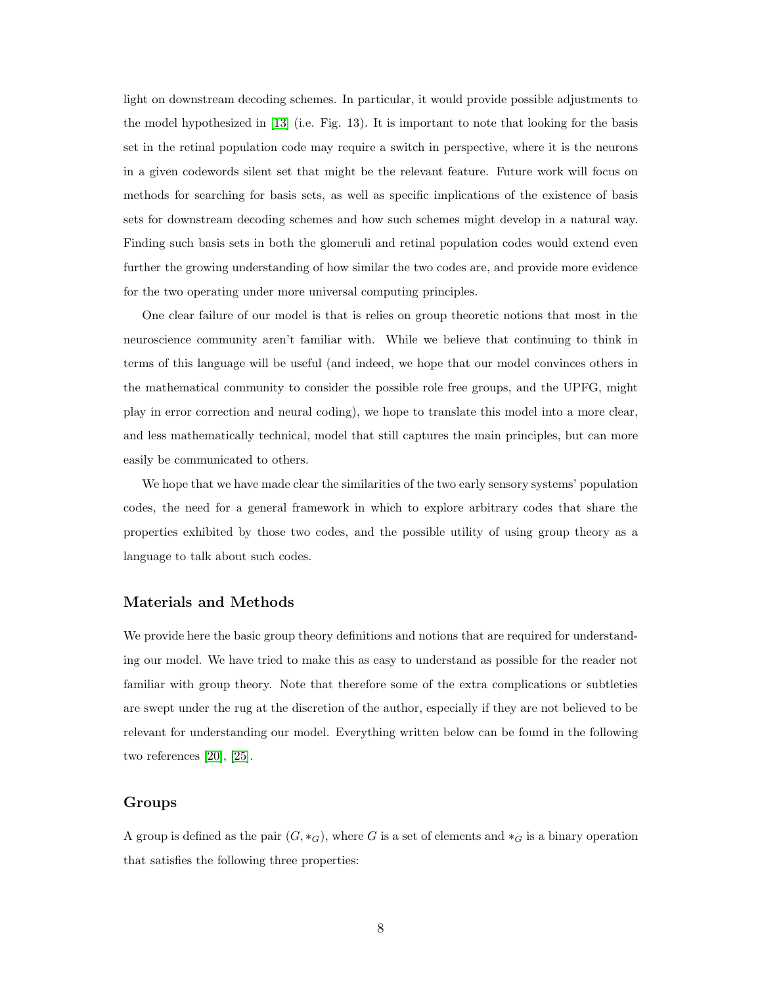light on downstream decoding schemes. In particular, it would provide possible adjustments to the model hypothesized in [\[13\]](#page-10-0) (i.e. Fig. 13). It is important to note that looking for the basis set in the retinal population code may require a switch in perspective, where it is the neurons in a given codewords silent set that might be the relevant feature. Future work will focus on methods for searching for basis sets, as well as specific implications of the existence of basis sets for downstream decoding schemes and how such schemes might develop in a natural way. Finding such basis sets in both the glomeruli and retinal population codes would extend even further the growing understanding of how similar the two codes are, and provide more evidence for the two operating under more universal computing principles.

One clear failure of our model is that is relies on group theoretic notions that most in the neuroscience community aren't familiar with. While we believe that continuing to think in terms of this language will be useful (and indeed, we hope that our model convinces others in the mathematical community to consider the possible role free groups, and the UPFG, might play in error correction and neural coding), we hope to translate this model into a more clear, and less mathematically technical, model that still captures the main principles, but can more easily be communicated to others.

We hope that we have made clear the similarities of the two early sensory systems' population codes, the need for a general framework in which to explore arbitrary codes that share the properties exhibited by those two codes, and the possible utility of using group theory as a language to talk about such codes.

#### Materials and Methods

We provide here the basic group theory definitions and notions that are required for understanding our model. We have tried to make this as easy to understand as possible for the reader not familiar with group theory. Note that therefore some of the extra complications or subtleties are swept under the rug at the discretion of the author, especially if they are not believed to be relevant for understanding our model. Everything written below can be found in the following two references [\[20\]](#page-10-7), [\[25\]](#page-10-12).

#### Groups

A group is defined as the pair  $(G, *_{G})$ , where G is a set of elements and  $*_{G}$  is a binary operation that satisfies the following three properties: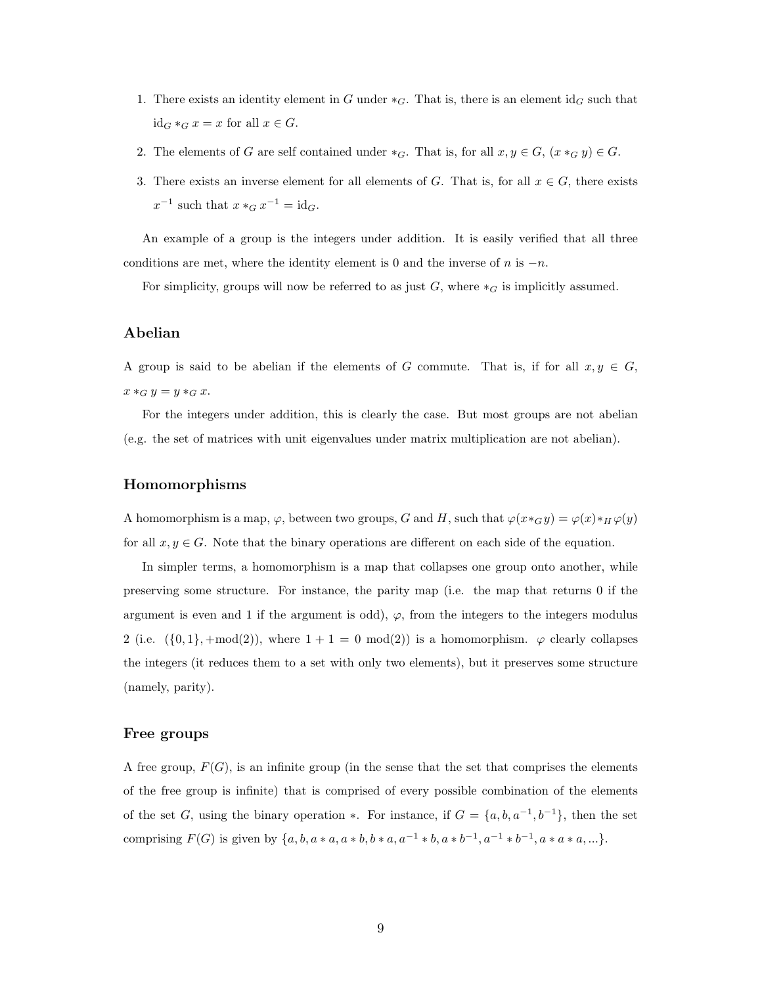- 1. There exists an identity element in G under  $*_G$ . That is, there is an element id<sub>G</sub> such that  $id_G *_G x = x$  for all  $x \in G$ .
- 2. The elements of G are self contained under  $*_G$ . That is, for all  $x, y \in G$ ,  $(x *_G y) \in G$ .
- 3. There exists an inverse element for all elements of G. That is, for all  $x \in G$ , there exists  $x^{-1}$  such that  $x *_G x^{-1} = id_G$ .

An example of a group is the integers under addition. It is easily verified that all three conditions are met, where the identity element is 0 and the inverse of  $n$  is  $-n$ .

For simplicity, groups will now be referred to as just  $G$ , where  $*_G$  is implicitly assumed.

#### Abelian

A group is said to be abelian if the elements of G commute. That is, if for all  $x, y \in G$ ,  $x \ast_G y = y \ast_G x.$ 

For the integers under addition, this is clearly the case. But most groups are not abelian (e.g. the set of matrices with unit eigenvalues under matrix multiplication are not abelian).

#### Homomorphisms

A homomorphism is a map,  $\varphi$ , between two groups, G and H, such that  $\varphi(x \ast_G y) = \varphi(x) \ast_H \varphi(y)$ for all  $x, y \in G$ . Note that the binary operations are different on each side of the equation.

In simpler terms, a homomorphism is a map that collapses one group onto another, while preserving some structure. For instance, the parity map (i.e. the map that returns 0 if the argument is even and 1 if the argument is odd),  $\varphi$ , from the integers to the integers modulus 2 (i.e.  $({0, 1}, +mod(2))$ , where  $1 + 1 = 0 mod(2)$ ) is a homomorphism.  $\varphi$  clearly collapses the integers (it reduces them to a set with only two elements), but it preserves some structure (namely, parity).

#### Free groups

A free group,  $F(G)$ , is an infinite group (in the sense that the set that comprises the elements of the free group is infinite) that is comprised of every possible combination of the elements of the set G, using the binary operation  $\ast$ . For instance, if  $G = \{a, b, a^{-1}, b^{-1}\}\$ , then the set comprising  $F(G)$  is given by  $\{a, b, a * a, a * b, b * a, a^{-1} * b, a * b^{-1}, a^{-1} * b^{-1}, a * a * a, ...\}$ .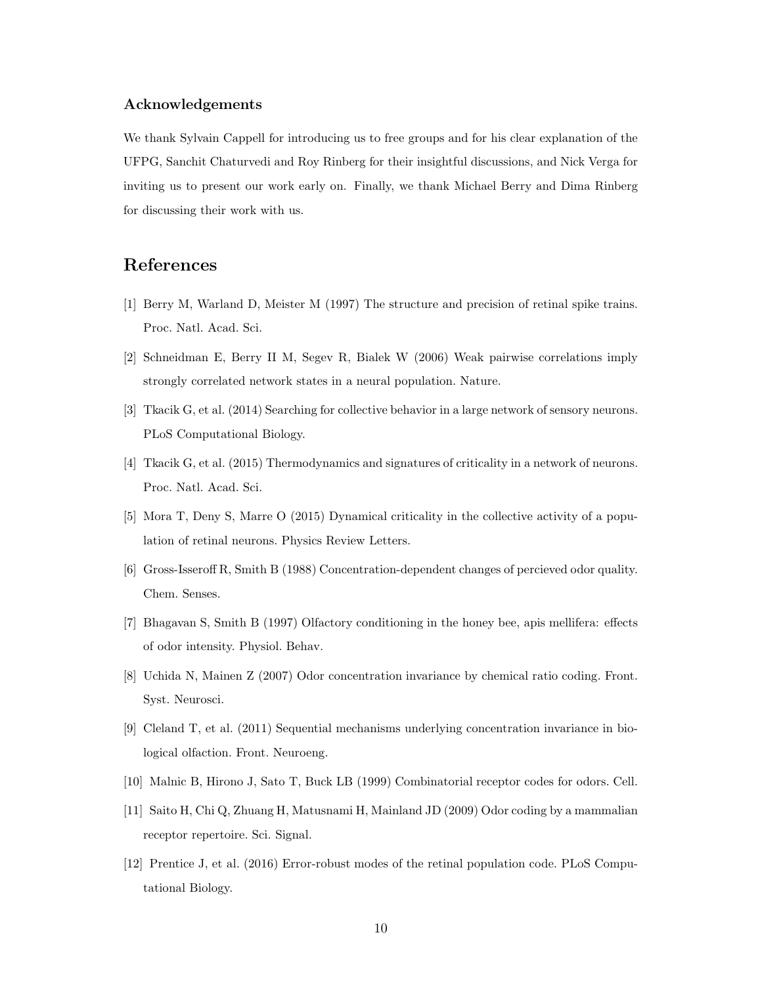#### Acknowledgements

We thank Sylvain Cappell for introducing us to free groups and for his clear explanation of the UFPG, Sanchit Chaturvedi and Roy Rinberg for their insightful discussions, and Nick Verga for inviting us to present our work early on. Finally, we thank Michael Berry and Dima Rinberg for discussing their work with us.

## <span id="page-9-0"></span>References

- <span id="page-9-1"></span>[1] Berry M, Warland D, Meister M (1997) The structure and precision of retinal spike trains. Proc. Natl. Acad. Sci.
- <span id="page-9-2"></span>[2] Schneidman E, Berry II M, Segev R, Bialek W (2006) Weak pairwise correlations imply strongly correlated network states in a neural population. Nature.
- <span id="page-9-3"></span>[3] Tkacik G, et al. (2014) Searching for collective behavior in a large network of sensory neurons. PLoS Computational Biology.
- <span id="page-9-4"></span>[4] Tkacik G, et al. (2015) Thermodynamics and signatures of criticality in a network of neurons. Proc. Natl. Acad. Sci.
- <span id="page-9-5"></span>[5] Mora T, Deny S, Marre O (2015) Dynamical criticality in the collective activity of a population of retinal neurons. Physics Review Letters.
- <span id="page-9-6"></span>[6] Gross-Isseroff R, Smith B (1988) Concentration-dependent changes of percieved odor quality. Chem. Senses.
- <span id="page-9-7"></span>[7] Bhagavan S, Smith B (1997) Olfactory conditioning in the honey bee, apis mellifera: effects of odor intensity. Physiol. Behav.
- <span id="page-9-8"></span>[8] Uchida N, Mainen Z (2007) Odor concentration invariance by chemical ratio coding. Front. Syst. Neurosci.
- <span id="page-9-9"></span>[9] Cleland T, et al. (2011) Sequential mechanisms underlying concentration invariance in biological olfaction. Front. Neuroeng.
- <span id="page-9-10"></span>[10] Malnic B, Hirono J, Sato T, Buck LB (1999) Combinatorial receptor codes for odors. Cell.
- <span id="page-9-11"></span>[11] Saito H, Chi Q, Zhuang H, Matusnami H, Mainland JD (2009) Odor coding by a mammalian receptor repertoire. Sci. Signal.
- [12] Prentice J, et al. (2016) Error-robust modes of the retinal population code. PLoS Computational Biology.